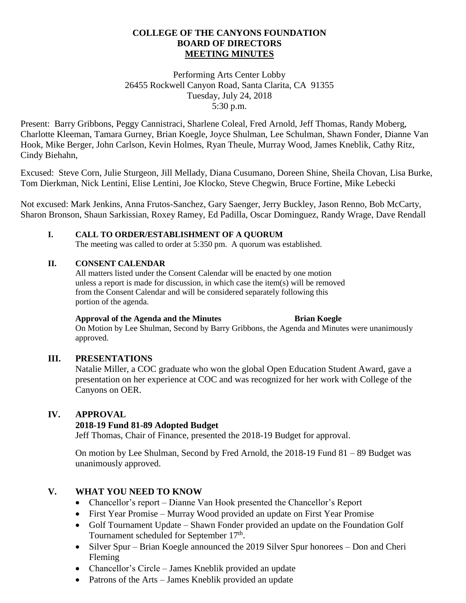#### **COLLEGE OF THE CANYONS FOUNDATION BOARD OF DIRECTORS MEETING MINUTES**

### Performing Arts Center Lobby 26455 Rockwell Canyon Road, Santa Clarita, CA 91355 Tuesday, July 24, 2018 5:30 p.m.

Present: Barry Gribbons, Peggy Cannistraci, Sharlene Coleal, Fred Arnold, Jeff Thomas, Randy Moberg, Charlotte Kleeman, Tamara Gurney, Brian Koegle, Joyce Shulman, Lee Schulman, Shawn Fonder, Dianne Van Hook, Mike Berger, John Carlson, Kevin Holmes, Ryan Theule, Murray Wood, James Kneblik, Cathy Ritz, Cindy Biehahn,

Excused: Steve Corn, Julie Sturgeon, Jill Mellady, Diana Cusumano, Doreen Shine, Sheila Chovan, Lisa Burke, Tom Dierkman, Nick Lentini, Elise Lentini, Joe Klocko, Steve Chegwin, Bruce Fortine, Mike Lebecki

Not excused: Mark Jenkins, Anna Frutos-Sanchez, Gary Saenger, Jerry Buckley, Jason Renno, Bob McCarty, Sharon Bronson, Shaun Sarkissian, Roxey Ramey, Ed Padilla, Oscar Dominguez, Randy Wrage, Dave Rendall

#### **I. CALL TO ORDER/ESTABLISHMENT OF A QUORUM**

The meeting was called to order at 5:350 pm. A quorum was established.

#### **II. CONSENT CALENDAR**

All matters listed under the Consent Calendar will be enacted by one motion unless a report is made for discussion, in which case the item(s) will be removed from the Consent Calendar and will be considered separately following this portion of the agenda.

#### **Approval of the Agenda and the Minutes Brian Koegle**

On Motion by Lee Shulman, Second by Barry Gribbons, the Agenda and Minutes were unanimously approved.

# **III. PRESENTATIONS**

Natalie Miller, a COC graduate who won the global Open Education Student Award, gave a presentation on her experience at COC and was recognized for her work with College of the Canyons on OER.

# **IV. APPROVAL**

# **2018-19 Fund 81-89 Adopted Budget**

Jeff Thomas, Chair of Finance, presented the 2018-19 Budget for approval.

On motion by Lee Shulman, Second by Fred Arnold, the 2018-19 Fund 81 – 89 Budget was unanimously approved.

# **V. WHAT YOU NEED TO KNOW**

- Chancellor's report Dianne Van Hook presented the Chancellor's Report
- First Year Promise Murray Wood provided an update on First Year Promise
- Golf Tournament Update Shawn Fonder provided an update on the Foundation Golf Tournament scheduled for September 17<sup>th</sup>.
- Silver Spur Brian Koegle announced the 2019 Silver Spur honorees Don and Cheri Fleming
- Chancellor's Circle James Kneblik provided an update
- Patrons of the Arts James Kneblik provided an update